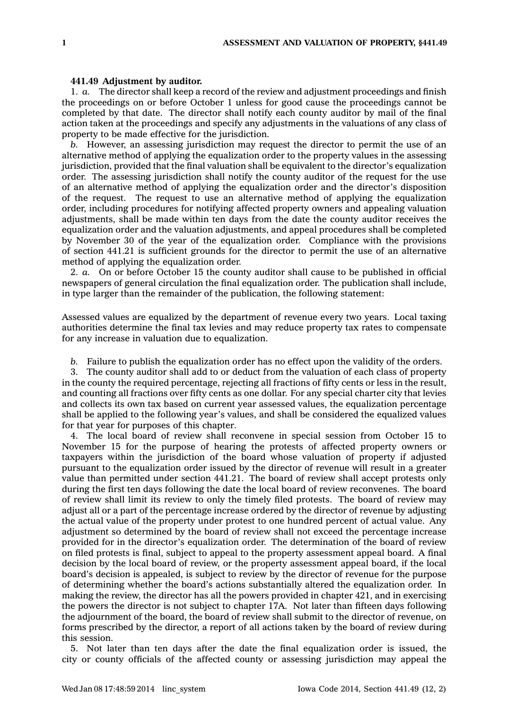## **441.49 Adjustment by auditor.**

1. *a.* The director shall keep <sup>a</sup> record of the review and adjustment proceedings and finish the proceedings on or before October 1 unless for good cause the proceedings cannot be completed by that date. The director shall notify each county auditor by mail of the final action taken at the proceedings and specify any adjustments in the valuations of any class of property to be made effective for the jurisdiction.

*b.* However, an assessing jurisdiction may request the director to permit the use of an alternative method of applying the equalization order to the property values in the assessing jurisdiction, provided that the final valuation shall be equivalent to the director's equalization order. The assessing jurisdiction shall notify the county auditor of the request for the use of an alternative method of applying the equalization order and the director's disposition of the request. The request to use an alternative method of applying the equalization order, including procedures for notifying affected property owners and appealing valuation adjustments, shall be made within ten days from the date the county auditor receives the equalization order and the valuation adjustments, and appeal procedures shall be completed by November 30 of the year of the equalization order. Compliance with the provisions of section 441.21 is sufficient grounds for the director to permit the use of an alternative method of applying the equalization order.

2. *a.* On or before October 15 the county auditor shall cause to be published in official newspapers of general circulation the final equalization order. The publication shall include, in type larger than the remainder of the publication, the following statement:

Assessed values are equalized by the department of revenue every two years. Local taxing authorities determine the final tax levies and may reduce property tax rates to compensate for any increase in valuation due to equalization.

*b.* Failure to publish the equalization order has no effect upon the validity of the orders.

3. The county auditor shall add to or deduct from the valuation of each class of property in the county the required percentage, rejecting all fractions of fifty cents or less in the result, and counting all fractions over fifty cents as one dollar. For any special charter city that levies and collects its own tax based on current year assessed values, the equalization percentage shall be applied to the following year's values, and shall be considered the equalized values for that year for purposes of this chapter.

4. The local board of review shall reconvene in special session from October 15 to November 15 for the purpose of hearing the protests of affected property owners or taxpayers within the jurisdiction of the board whose valuation of property if adjusted pursuant to the equalization order issued by the director of revenue will result in <sup>a</sup> greater value than permitted under section 441.21. The board of review shall accept protests only during the first ten days following the date the local board of review reconvenes. The board of review shall limit its review to only the timely filed protests. The board of review may adjust all or <sup>a</sup> part of the percentage increase ordered by the director of revenue by adjusting the actual value of the property under protest to one hundred percent of actual value. Any adjustment so determined by the board of review shall not exceed the percentage increase provided for in the director's equalization order. The determination of the board of review on filed protests is final, subject to appeal to the property assessment appeal board. A final decision by the local board of review, or the property assessment appeal board, if the local board's decision is appealed, is subject to review by the director of revenue for the purpose of determining whether the board's actions substantially altered the equalization order. In making the review, the director has all the powers provided in chapter 421, and in exercising the powers the director is not subject to chapter 17A. Not later than fifteen days following the adjournment of the board, the board of review shall submit to the director of revenue, on forms prescribed by the director, <sup>a</sup> report of all actions taken by the board of review during this session.

5. Not later than ten days after the date the final equalization order is issued, the city or county officials of the affected county or assessing jurisdiction may appeal the